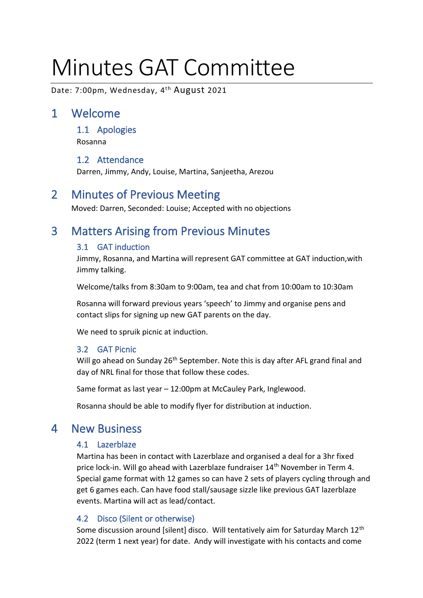# Minutes GAT Committee

Date: 7:00pm, Wednesday, 4<sup>th</sup> August 2021

# 1 Welcome

1.1 Apologies

Rosanna

#### 1.2 Attendance

Darren, Jimmy, Andy, Louise, Martina, Sanjeetha, Arezou

# 2 Minutes of Previous Meeting

Moved: Darren, Seconded: Louise; Accepted with no objections

# 3 Matters Arising from Previous Minutes

#### 3.1 GAT induction

Jimmy, Rosanna, and Martina will represent GAT committee at GAT induction,with Jimmy talking.

Welcome/talks from 8:30am to 9:00am, tea and chat from 10:00am to 10:30am

Rosanna will forward previous years 'speech' to Jimmy and organise pens and contact slips for signing up new GAT parents on the day.

We need to spruik picnic at induction.

#### 3.2 GAT Picnic

Will go ahead on Sunday 26<sup>th</sup> September. Note this is day after AFL grand final and day of NRL final for those that follow these codes.

Same format as last year – 12:00pm at McCauley Park, Inglewood.

Rosanna should be able to modify flyer for distribution at induction.

## 4 New Business

#### 4.1 Lazerblaze

Martina has been in contact with Lazerblaze and organised a deal for a 3hr fixed price lock-in. Will go ahead with Lazerblaze fundraiser 14<sup>th</sup> November in Term 4. Special game format with 12 games so can have 2 sets of players cycling through and get 6 games each. Can have food stall/sausage sizzle like previous GAT lazerblaze events. Martina will act as lead/contact.

#### 4.2 Disco (Silent or otherwise)

Some discussion around [silent] disco. Will tentatively aim for Saturday March 12<sup>th</sup> 2022 (term 1 next year) for date. Andy will investigate with his contacts and come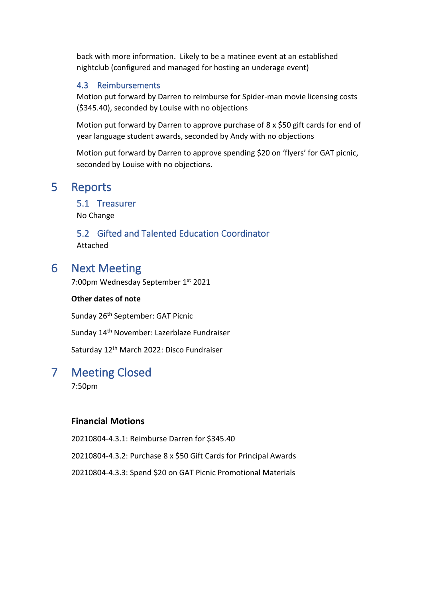back with more information. Likely to be a matinee event at an established nightclub (configured and managed for hosting an underage event)

#### 4.3 Reimbursements

Motion put forward by Darren to reimburse for Spider-man movie licensing costs (\$345.40), seconded by Louise with no objections

Motion put forward by Darren to approve purchase of 8 x \$50 gift cards for end of year language student awards, seconded by Andy with no objections

Motion put forward by Darren to approve spending \$20 on 'flyers' for GAT picnic, seconded by Louise with no objections.

## 5 Reports

5.1 Treasurer

No Change

5.2 Gifted and Talented Education Coordinator Attached

## 6 Next Meeting

7:00pm Wednesday September 1st 2021

#### **Other dates of note**

Sunday 26<sup>th</sup> September: GAT Picnic

Sunday 14th November: Lazerblaze Fundraiser

Saturday 12<sup>th</sup> March 2022: Disco Fundraiser

## 7 Meeting Closed

7:50pm

#### **Financial Motions**

20210804-4.3.1: Reimburse Darren for \$345.40

20210804-4.3.2: Purchase 8 x \$50 Gift Cards for Principal Awards

20210804-4.3.3: Spend \$20 on GAT Picnic Promotional Materials